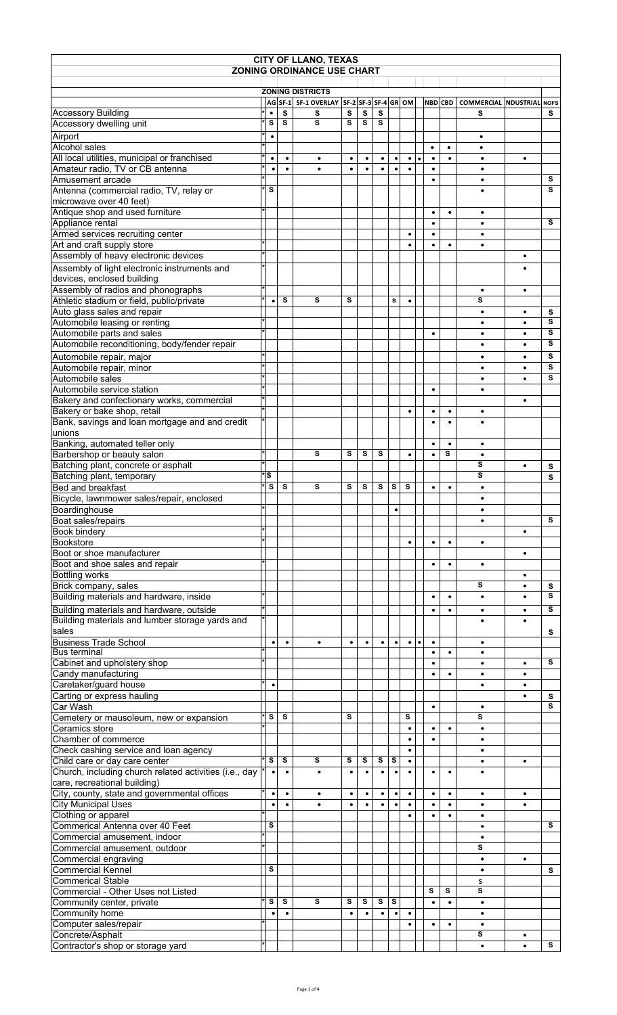| <b>CITY OF LLANO, TEXAS</b>                                                                 |          |                |                |                                           |                |                |           |                |                |           |                |                |                                   |           |        |
|---------------------------------------------------------------------------------------------|----------|----------------|----------------|-------------------------------------------|----------------|----------------|-----------|----------------|----------------|-----------|----------------|----------------|-----------------------------------|-----------|--------|
|                                                                                             |          |                |                | <b>ZONING ORDINANCE USE CHART</b>         |                |                |           |                |                |           |                |                |                                   |           |        |
|                                                                                             |          |                |                | <b>ZONING DISTRICTS</b>                   |                |                |           |                |                |           |                |                |                                   |           |        |
|                                                                                             |          |                |                | AG SF-1 SF-1 OVERLAY SF-2 SF-3 SF-4 GR OM |                |                |           |                |                |           |                | <b>NBD CBD</b> | <b>COMMERCIAL INDUSTRIAL NOFS</b> |           |        |
| <b>Accessory Building</b>                                                                   |          | ٠              | s              | s                                         | s              | $\mathbf s$    | s         |                |                |           |                |                | s                                 |           | s      |
| Accessory dwelling unit                                                                     |          | S              | s              | $\overline{\mathbf{s}}$                   | s              | s              | s         |                |                |           |                |                |                                   |           |        |
| Airport                                                                                     |          | $\bullet$      |                |                                           |                |                |           |                |                |           |                |                | ٠                                 |           |        |
| Alcohol sales                                                                               |          |                |                |                                           |                |                |           |                |                |           | $\bullet$      | $\bullet$      | ٠                                 |           |        |
| All local utilities, municipal or franchised<br>Amateur radio, TV or CB antenna             |          | $\bullet$<br>٠ | ٠<br>$\bullet$ | ٠                                         | ٠<br>$\bullet$ | ٠<br>$\bullet$ | ٠<br>٠    | $\bullet$      | $\bullet$<br>٠ | $\bullet$ | $\bullet$<br>٠ | ٠              | ٠<br>$\bullet$                    | ٠         |        |
| Amusement arcade                                                                            |          |                |                |                                           |                |                |           |                |                |           |                |                | ٠                                 |           | s      |
| Antenna (commercial radio, TV, relay or                                                     |          | s              |                |                                           |                |                |           |                |                |           |                |                | $\bullet$                         |           | s      |
| microwave over 40 feet)                                                                     |          |                |                |                                           |                |                |           |                |                |           |                |                |                                   |           |        |
| Antique shop and used furniture                                                             |          |                |                |                                           |                |                |           |                |                |           | ٠              | $\bullet$      | $\bullet$                         |           |        |
| Appliance rental                                                                            |          |                |                |                                           |                |                |           |                |                |           | $\bullet$      |                | $\bullet$                         |           | s      |
| Armed services recruiting center<br>Art and craft supply store                              |          |                |                |                                           |                |                |           |                | ٠<br>$\bullet$ |           | ٠<br>$\bullet$ | $\bullet$      | ٠<br>$\bullet$                    |           |        |
| Assembly of heavy electronic devices                                                        |          |                |                |                                           |                |                |           |                |                |           |                |                |                                   | ٠         |        |
| Assembly of light electronic instruments and                                                |          |                |                |                                           |                |                |           |                |                |           |                |                |                                   | $\bullet$ |        |
| devices, enclosed building                                                                  |          |                |                |                                           |                |                |           |                |                |           |                |                |                                   |           |        |
| Assembly of radios and phonographs                                                          |          |                |                |                                           |                |                |           |                |                |           |                |                | $\bullet$                         | ٠         |        |
| Athletic stadium or field, public/private                                                   |          | $\bullet$      | s              | s                                         | s              |                |           | s              | $\bullet$      |           |                |                | S                                 |           |        |
| Auto glass sales and repair                                                                 |          |                |                |                                           |                |                |           |                |                |           |                |                | $\bullet$                         | $\bullet$ | s      |
| Automobile leasing or renting                                                               |          |                |                |                                           |                |                |           |                |                |           |                |                | $\bullet$                         | $\bullet$ | s<br>s |
| Automobile parts and sales<br>Automobile reconditioning, body/fender repair                 |          |                |                |                                           |                |                |           |                |                |           | ٠              |                | ٠<br>$\bullet$                    | ٠         | s      |
| Automobile repair, major                                                                    |          |                |                |                                           |                |                |           |                |                |           |                |                | ٠                                 | ٠         | s      |
| Automobile repair, minor                                                                    |          |                |                |                                           |                |                |           |                |                |           |                |                |                                   | $\bullet$ | s      |
| Automobile sales                                                                            |          |                |                |                                           |                |                |           |                |                |           |                |                | ٠                                 | $\bullet$ | s      |
| Automobile service station                                                                  |          |                |                |                                           |                |                |           |                |                |           | ٠              |                | ٠                                 |           |        |
| Bakery and confectionary works, commercial                                                  |          |                |                |                                           |                |                |           |                |                |           |                |                |                                   | $\bullet$ |        |
| Bakery or bake shop, retail                                                                 |          |                |                |                                           |                |                |           |                | $\bullet$      |           | ٠              | $\bullet$      | ٠                                 |           |        |
| Bank, savings and loan mortgage and and credit<br>unions                                    |          |                |                |                                           |                |                |           |                |                |           |                |                |                                   |           |        |
| Banking, automated teller only                                                              |          |                |                |                                           |                |                |           |                |                |           | $\bullet$      | $\bullet$      | ٠                                 |           |        |
| Barbershop or beauty salon                                                                  |          |                |                | s                                         | s              | s              | s         |                | ٠              |           | $\bullet$      | s              | ٠                                 |           |        |
| Batching plant, concrete or asphalt                                                         |          |                |                |                                           |                |                |           |                |                |           |                |                | S                                 | ٠         | s      |
| Batching plant, temporary                                                                   |          | ls             |                |                                           |                |                |           |                |                |           |                |                | s                                 |           | s      |
| <b>Bed and breakfast</b>                                                                    |          | S              | s              | s                                         | s              | s              | s         | s              | s              |           | ٠              | $\bullet$      | $\bullet$                         |           |        |
| Bicycle, lawnmower sales/repair, enclosed                                                   |          |                |                |                                           |                |                |           |                |                |           |                |                | $\bullet$                         |           |        |
| Boardinghouse                                                                               |          |                |                |                                           |                |                |           | ٠              |                |           |                |                | ٠                                 |           | s      |
| Boat sales/repairs<br>Book bindery                                                          |          |                |                |                                           |                |                |           |                |                |           |                |                |                                   | ٠         |        |
| Bookstore                                                                                   |          |                |                |                                           |                |                |           |                |                |           | ٠              | $\bullet$      | ٠                                 |           |        |
| Boot or shoe manufacturer                                                                   |          |                |                |                                           |                |                |           |                |                |           |                |                |                                   | ٠         |        |
| Boot and shoe sales and repair                                                              |          |                |                |                                           |                |                |           |                |                |           | ٠              | ٠              | ٠                                 |           |        |
| <b>Bottling works</b>                                                                       |          |                |                |                                           |                |                |           |                |                |           |                |                |                                   | ٠         |        |
| Brick company, sales                                                                        |          |                |                |                                           |                |                |           |                |                |           |                |                | s<br>$\bullet$                    | ٠         | s<br>s |
| Building materials and hardware, inside                                                     |          |                |                |                                           |                |                |           |                |                |           | ٠              | $\bullet$      |                                   |           |        |
| Building materials and hardware, outside<br>Building materials and lumber storage yards and |          |                |                |                                           |                |                |           |                |                |           | ٠              | $\bullet$      | ٠                                 | ٠         | s      |
| sales                                                                                       |          |                |                |                                           |                |                |           |                |                |           |                |                |                                   |           | s      |
| <b>Business Trade School</b>                                                                |          | $\bullet$      | $\bullet$      | ٠                                         | $\bullet$      | ٠              | $\bullet$ | $\bullet$      | $\bullet$      | $\bullet$ | $\bullet$      |                | ٠                                 |           |        |
| <b>Bus terminal</b>                                                                         |          |                |                |                                           |                |                |           |                |                |           | ٠              | $\bullet$      | ٠                                 |           |        |
| Cabinet and upholstery shop                                                                 |          |                |                |                                           |                |                |           |                |                |           |                |                | ٠                                 | ٠         | s      |
| Candy manufacturing                                                                         |          |                |                |                                           |                |                |           |                |                |           | ٠              | $\bullet$      | ٠                                 | ٠         |        |
| Caretaker/guard house<br>Carting or express hauling                                         |          | $\bullet$      |                |                                           |                |                |           |                |                |           |                |                | ٠                                 | ٠         |        |
| Car Wash                                                                                    |          |                |                |                                           |                |                |           |                |                |           | $\bullet$      |                | ٠                                 |           | s<br>s |
| Cemetery or mausoleum, new or expansion                                                     |          | S              | s              |                                           | s              |                |           |                | s              |           |                |                | S                                 |           |        |
| Ceramics store                                                                              |          |                |                |                                           |                |                |           |                | $\bullet$      |           | $\bullet$      | $\bullet$      | ٠                                 |           |        |
| Chamber of commerce                                                                         |          |                |                |                                           |                |                |           |                | ٠              |           | $\bullet$      |                | $\bullet$                         |           |        |
| Check cashing service and loan agency                                                       |          |                |                |                                           |                |                |           |                | ٠              |           |                |                | $\bullet$                         |           |        |
| Child care or day care center                                                               |          | s<br>$\bullet$ | s              | s                                         | s<br>٠         | s<br>$\bullet$ | s         | s<br>$\bullet$ | $\bullet$      |           | ٠              |                | ٠                                 | ٠         |        |
| Church, including church related activities (i.e., day<br>care, recreational building)      |          |                | ٠              |                                           |                |                | ٠         |                | ٠              |           |                | ٠              |                                   |           |        |
| City, county, state and governmental offices                                                |          | ٠              | $\bullet$      | ٠                                         | ٠              | $\bullet$      | ٠         | $\bullet$      | $\bullet$      |           | ٠              | $\bullet$      | ٠                                 | $\bullet$ |        |
| <b>City Municipal Uses</b>                                                                  |          | $\bullet$      |                | $\bullet$                                 | $\bullet$      | $\bullet$      |           | $\bullet$      | ٠              |           | $\bullet$      | ٠              | $\bullet$                         | $\bullet$ |        |
| Clothing or apparel                                                                         |          |                |                |                                           |                |                |           |                | $\bullet$      |           | $\bullet$      | $\bullet$      | ٠                                 |           |        |
| Commerical Antenna over 40 Feet                                                             |          | s              |                |                                           |                |                |           |                |                |           |                |                | ٠                                 |           | s      |
| Commercial amusement, indoor                                                                |          |                |                |                                           |                |                |           |                |                |           |                |                | ٠                                 |           |        |
| Commercial amusement, outdoor                                                               |          |                |                |                                           |                |                |           |                |                |           |                |                | s                                 |           |        |
| Commercial engraving<br><b>Commercial Kennel</b>                                            |          | s              |                |                                           |                |                |           |                |                |           |                |                | $\bullet$<br>$\bullet$            | $\bullet$ | s      |
| <b>Commerical Stable</b>                                                                    |          |                |                |                                           |                |                |           |                |                |           |                |                | S                                 |           |        |
| Commercial - Other Uses not Listed                                                          |          |                |                |                                           |                |                |           |                |                |           | s              | s              | s                                 |           |        |
| Community center, private                                                                   |          | S              | s              | s                                         | s              | s              | s         | s              |                |           | ٠              | $\bullet$      | $\bullet$                         |           |        |
| Community home                                                                              |          | $\bullet$      |                |                                           | $\bullet$      | $\bullet$      | ٠         | ٠              | ٠              |           |                |                | $\bullet$                         |           |        |
| Computer sales/repair                                                                       |          |                |                |                                           |                |                |           |                | $\bullet$      |           | ٠              | ٠              | $\bullet$<br>s                    |           |        |
| Concrete/Asphalt<br>Contractor's shop or storage yard                                       | <b>k</b> |                |                |                                           |                |                |           |                |                |           |                |                | ٠                                 | $\bullet$ | s      |
|                                                                                             |          |                |                |                                           |                |                |           |                |                |           |                |                |                                   |           |        |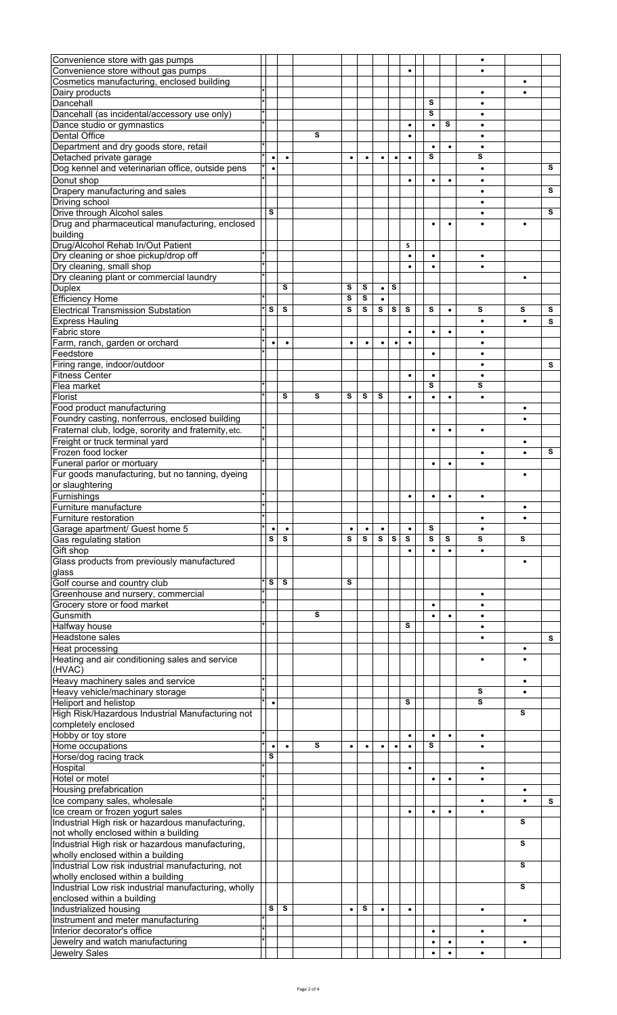|                                                      |           |           |   |           |           |   |           |           |   |           |           | $\bullet$ |           |   |
|------------------------------------------------------|-----------|-----------|---|-----------|-----------|---|-----------|-----------|---|-----------|-----------|-----------|-----------|---|
| Convenience store with gas pumps                     |           |           |   |           |           |   |           |           |   |           |           |           |           |   |
| Convenience store without gas pumps                  |           |           |   |           |           |   |           | ٠         |   |           |           |           |           |   |
| Cosmetics manufacturing, enclosed building           |           |           |   |           |           |   |           |           |   |           |           |           |           |   |
| Dairy products                                       |           |           |   |           |           |   |           |           |   |           |           | $\bullet$ | $\bullet$ |   |
| Dancehall                                            |           |           |   |           |           |   |           |           | s |           |           | $\bullet$ |           |   |
| Dancehall (as incidental/accessory use only)         |           |           |   |           |           |   |           |           | s |           |           | ٠         |           |   |
|                                                      |           |           |   |           |           |   |           |           |   |           |           |           |           |   |
| Dance studio or gymnastics                           |           |           |   |           |           |   |           | ٠         |   | ٠         | s         | ٠         |           |   |
| <b>Dental Office</b>                                 |           |           | s |           |           |   |           | $\bullet$ |   |           |           | ٠         |           |   |
| Department and dry goods store, retail               |           |           |   |           |           |   |           |           |   | $\bullet$ | $\bullet$ | $\bullet$ |           |   |
| Detached private garage                              | $\bullet$ | $\bullet$ |   | $\bullet$ | $\bullet$ | ٠ | ٠         | ٠         | s |           |           | s         |           |   |
| Dog kennel and veterinarian office, outside pens     |           |           |   |           |           |   |           |           |   |           |           | ٠         |           | s |
|                                                      | ٠         |           |   |           |           |   |           |           |   |           |           |           |           |   |
| Donut shop                                           |           |           |   |           |           |   |           | ٠         |   | ٠         | $\bullet$ | $\bullet$ |           |   |
| Drapery manufacturing and sales                      |           |           |   |           |           |   |           |           |   |           |           | ٠         |           | s |
| Driving school                                       |           |           |   |           |           |   |           |           |   |           |           |           |           |   |
| Drive through Alcohol sales                          | s         |           |   |           |           |   |           |           |   |           |           | ٠         |           | s |
|                                                      |           |           |   |           |           |   |           |           |   |           |           |           |           |   |
| Drug and pharmaceutical manufacturing, enclosed      |           |           |   |           |           |   |           |           |   |           | ٠         |           | $\bullet$ |   |
| building                                             |           |           |   |           |           |   |           |           |   |           |           |           |           |   |
| Drug/Alcohol Rehab In/Out Patient                    |           |           |   |           |           |   |           | s         |   |           |           |           |           |   |
| Dry cleaning or shoe pickup/drop off                 |           |           |   |           |           |   |           | $\bullet$ |   | ٠         |           | $\bullet$ |           |   |
|                                                      |           |           |   |           |           |   |           |           |   |           |           |           |           |   |
| Dry cleaning, small shop                             |           |           |   |           |           |   |           | $\bullet$ |   | $\bullet$ |           | $\bullet$ |           |   |
| Dry cleaning plant or commercial laundry             |           |           |   |           |           |   |           |           |   |           |           |           | ٠         |   |
| <b>Duplex</b>                                        |           | s         |   | s         | s         | ٠ | s         |           |   |           |           |           |           |   |
| <b>Efficiency Home</b>                               |           |           |   | S         | s         |   |           |           |   |           |           |           |           |   |
|                                                      |           |           |   |           |           |   |           |           |   |           |           |           |           |   |
| <b>Electrical Transmission Substation</b>            | s         | s         |   | s         | s         | s | s         | s         | s |           | $\bullet$ | s         | s         | s |
| <b>Express Hauling</b>                               |           |           |   |           |           |   |           |           |   |           |           | $\bullet$ | $\bullet$ | s |
| Fabric store                                         |           |           |   |           |           |   |           | ٠         |   | ٠         | ٠         | ٠         |           |   |
|                                                      | $\bullet$ | $\bullet$ |   | ٠         | $\bullet$ | ٠ | $\bullet$ | $\bullet$ |   |           |           | $\bullet$ |           |   |
| Farm, ranch, garden or orchard                       |           |           |   |           |           |   |           |           |   |           |           |           |           |   |
| Feedstore                                            |           |           |   |           |           |   |           |           |   |           |           |           |           |   |
| Firing range, indoor/outdoor                         |           |           |   |           |           |   |           |           |   |           |           | ٠         |           | s |
| <b>Fitness Center</b>                                |           |           |   |           |           |   |           | ٠         |   | ٠         |           | $\bullet$ |           |   |
|                                                      |           |           |   |           |           |   |           |           | s |           |           | s         |           |   |
| Flea market                                          |           |           |   |           |           |   |           |           |   |           |           |           |           |   |
| Florist                                              |           | s         | s | s         | s         | s |           | ٠         |   | ٠         | $\bullet$ | ٠         |           |   |
| Food product manufacturing                           |           |           |   |           |           |   |           |           |   |           |           |           |           |   |
| Foundry casting, nonferrous, enclosed building       |           |           |   |           |           |   |           |           |   |           |           |           |           |   |
|                                                      |           |           |   |           |           |   |           |           |   |           |           |           |           |   |
| Fraternal club, lodge, sorority and fraternity, etc. |           |           |   |           |           |   |           |           |   | ٠         | $\bullet$ | ٠         |           |   |
| Freight or truck terminal yard                       |           |           |   |           |           |   |           |           |   |           |           |           | ٠         |   |
| Frozen food locker                                   |           |           |   |           |           |   |           |           |   |           |           | ٠         |           | s |
| Funeral parlor or mortuary                           |           |           |   |           |           |   |           |           |   | $\bullet$ | ٠         | ٠         |           |   |
|                                                      |           |           |   |           |           |   |           |           |   |           |           |           |           |   |
| Fur goods manufacturing, but no tanning, dyeing      |           |           |   |           |           |   |           |           |   |           |           |           | $\bullet$ |   |
| or slaughtering                                      |           |           |   |           |           |   |           |           |   |           |           |           |           |   |
| Furnishings                                          |           |           |   |           |           |   |           | $\bullet$ |   | ٠         | ٠         | ٠         |           |   |
| Furniture manufacture                                |           |           |   |           |           |   |           |           |   |           |           |           |           |   |
| Furniture restoration                                |           |           |   |           |           |   |           |           |   |           |           |           |           |   |
|                                                      |           |           |   |           |           |   |           |           |   |           |           |           |           |   |
| Garage apartment/ Guest home 5                       |           |           |   |           |           | ٠ |           | ٠         | s |           |           |           |           |   |
|                                                      |           |           |   |           |           | s | s         | s         |   |           |           |           |           |   |
| Gas regulating station                               | s         | s         |   | s         | s         |   |           |           | s |           | s         | S         | s         |   |
|                                                      |           |           |   |           |           |   |           | ٠         |   | $\bullet$ | $\bullet$ | $\bullet$ |           |   |
| Gift shop                                            |           |           |   |           |           |   |           |           |   |           |           |           |           |   |
| Glass products from previously manufactured          |           |           |   |           |           |   |           |           |   |           |           |           | ٠         |   |
| glass                                                |           |           |   |           |           |   |           |           |   |           |           |           |           |   |
| Golf course and country club                         | s         | s         |   | s         |           |   |           |           |   |           |           |           |           |   |
|                                                      |           |           |   |           |           |   |           |           |   |           |           | ٠         |           |   |
| Greenhouse and nursery, commercial                   |           |           |   |           |           |   |           |           |   |           |           | ٠         |           |   |
| Grocery store or food market                         |           |           |   |           |           |   |           |           |   | ٠         |           |           |           |   |
| Gunsmith                                             |           |           | s |           |           |   |           |           |   | ٠         | ٠         | ٠         |           |   |
| Halfway house                                        |           |           |   |           |           |   |           | s         |   |           |           | $\bullet$ |           |   |
| Headstone sales                                      |           |           |   |           |           |   |           |           |   |           |           |           |           | s |
|                                                      |           |           |   |           |           |   |           |           |   |           |           |           | ٠         |   |
| Heat processing                                      |           |           |   |           |           |   |           |           |   |           |           |           |           |   |
| Heating and air conditioning sales and service       |           |           |   |           |           |   |           |           |   |           |           | ٠         |           |   |
| (HVAC)                                               |           |           |   |           |           |   |           |           |   |           |           |           |           |   |
| Heavy machinery sales and service                    |           |           |   |           |           |   |           |           |   |           |           |           | ٠         |   |
|                                                      |           |           |   |           |           |   |           |           |   |           |           | S         |           |   |
| Heavy vehicle/machinary storage                      |           |           |   |           |           |   |           |           |   |           |           |           |           |   |
| Heliport and helistop                                | $\bullet$ |           |   |           |           |   |           | s         |   |           |           | s         |           |   |
| High Risk/Hazardous Industrial Manufacturing not     |           |           |   |           |           |   |           |           |   |           |           |           | s         |   |
| completely enclosed                                  |           |           |   |           |           |   |           |           |   |           |           |           |           |   |
| Hobby or toy store                                   |           |           |   |           |           |   |           | $\bullet$ |   | ٠         | $\bullet$ | $\bullet$ |           |   |
|                                                      | $\bullet$ |           | s | ٠         |           | ٠ |           |           | s |           |           |           |           |   |
| Home occupations                                     |           |           |   |           |           |   |           |           |   |           |           |           |           |   |
| Horse/dog racing track                               | s         |           |   |           |           |   |           |           |   |           |           |           |           |   |
| Hospital                                             |           |           |   |           |           |   |           | ٠         |   |           |           | ٠         |           |   |
| Hotel or motel                                       |           |           |   |           |           |   |           |           |   | ٠         | ٠         | ٠         |           |   |
|                                                      |           |           |   |           |           |   |           |           |   |           |           |           |           |   |
| Housing prefabrication                               |           |           |   |           |           |   |           |           |   |           |           |           |           |   |
| Ice company sales, wholesale                         |           |           |   |           |           |   |           |           |   |           |           |           |           | s |
| Ice cream or frozen yogurt sales                     |           |           |   |           |           |   |           | $\bullet$ |   | ٠         | $\bullet$ | $\bullet$ |           |   |
| Industrial High risk or hazardous manufacturing,     |           |           |   |           |           |   |           |           |   |           |           |           | s         |   |
|                                                      |           |           |   |           |           |   |           |           |   |           |           |           |           |   |
| not wholly enclosed within a building                |           |           |   |           |           |   |           |           |   |           |           |           |           |   |
| Industrial High risk or hazardous manufacturing,     |           |           |   |           |           |   |           |           |   |           |           |           | s         |   |
| wholly enclosed within a building                    |           |           |   |           |           |   |           |           |   |           |           |           |           |   |
| Industrial Low risk industrial manufacturing, not    |           |           |   |           |           |   |           |           |   |           |           |           | s         |   |
|                                                      |           |           |   |           |           |   |           |           |   |           |           |           |           |   |
| wholly enclosed within a building                    |           |           |   |           |           |   |           |           |   |           |           |           |           |   |
| Industrial Low risk industrial manufacturing, wholly |           |           |   |           |           |   |           |           |   |           |           |           | s         |   |
| enclosed within a building                           |           |           |   |           |           |   |           |           |   |           |           |           |           |   |
| Industrialized housing                               | s         | s         |   | $\bullet$ | s         |   |           | ٠         |   |           |           |           |           |   |
| Instrument and meter manufacturing                   |           |           |   |           |           |   |           |           |   |           |           |           | ٠         |   |
|                                                      |           |           |   |           |           |   |           |           |   | ٠         |           | ٠         |           |   |
| Interior decorator's office                          |           |           |   |           |           |   |           |           |   |           |           |           |           |   |
| Jewelry and watch manufacturing<br>Jewelry Sales     |           |           |   |           |           |   |           |           |   | ٠<br>٠    | ٠         | $\bullet$ | ٠         |   |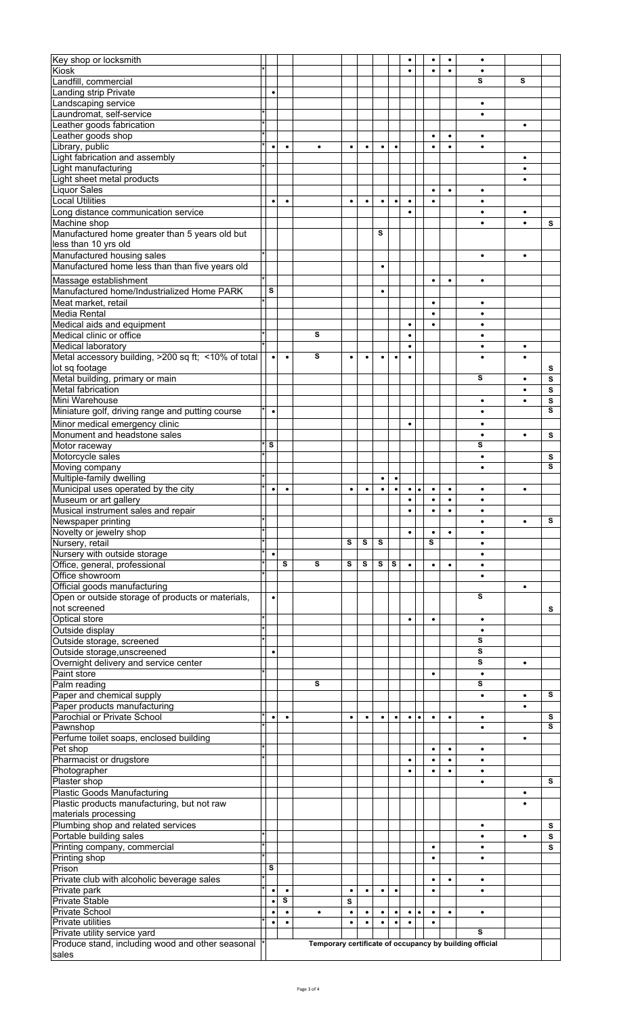| Key shop or locksmith                                     |                         |           |           |           |           |           |           |           |           |           | ٠         | ٠                                                       |           |   |
|-----------------------------------------------------------|-------------------------|-----------|-----------|-----------|-----------|-----------|-----------|-----------|-----------|-----------|-----------|---------------------------------------------------------|-----------|---|
| Kiosk                                                     |                         |           |           |           |           |           |           | ٠         |           | ٠         | ٠         |                                                         |           |   |
|                                                           |                         |           |           |           |           |           |           |           |           |           |           |                                                         |           |   |
| Landfill, commercial                                      |                         |           |           |           |           |           |           |           |           |           |           | s                                                       | s         |   |
| Landing strip Private                                     | $\bullet$               |           |           |           |           |           |           |           |           |           |           |                                                         |           |   |
| Landscaping service                                       |                         |           |           |           |           |           |           |           |           |           |           | $\bullet$                                               |           |   |
| Laundromat, self-service                                  |                         |           |           |           |           |           |           |           |           |           |           | ٠                                                       |           |   |
| Leather goods fabrication                                 |                         |           |           |           |           |           |           |           |           |           |           |                                                         | ٠         |   |
| Leather goods shop                                        |                         |           |           |           |           |           |           |           |           | ٠         | ٠         |                                                         |           |   |
|                                                           |                         |           |           |           |           |           |           |           |           |           |           |                                                         |           |   |
| Library, public                                           | $\bullet$               | $\bullet$ | $\bullet$ | $\bullet$ | $\bullet$ | $\bullet$ | $\bullet$ |           |           | $\bullet$ | $\bullet$ | $\bullet$                                               |           |   |
| Light fabrication and assembly                            |                         |           |           |           |           |           |           |           |           |           |           |                                                         | $\bullet$ |   |
| Light manufacturing                                       |                         |           |           |           |           |           |           |           |           |           |           |                                                         |           |   |
| Light sheet metal products                                |                         |           |           |           |           |           |           |           |           |           |           |                                                         |           |   |
| <b>Liquor Sales</b>                                       |                         |           |           |           |           |           |           |           |           | ٠         | ٠         | ٠                                                       |           |   |
| <b>Local Utilities</b>                                    | $\bullet$               | $\bullet$ |           | ٠         | $\bullet$ | $\bullet$ | $\bullet$ | $\bullet$ |           | $\bullet$ |           | $\bullet$                                               |           |   |
|                                                           |                         |           |           |           |           |           |           |           |           |           |           |                                                         |           |   |
| Long distance communication service                       |                         |           |           |           |           |           |           | $\bullet$ |           |           |           | $\bullet$                                               | $\bullet$ |   |
| Machine shop                                              |                         |           |           |           |           |           |           |           |           |           |           | ٠                                                       |           | s |
| Manufactured home greater than 5 years old but            |                         |           |           |           |           | s         |           |           |           |           |           |                                                         |           |   |
| less than 10 yrs old                                      |                         |           |           |           |           |           |           |           |           |           |           |                                                         |           |   |
| Manufactured housing sales                                |                         |           |           |           |           |           |           |           |           |           |           | ٠                                                       | $\bullet$ |   |
|                                                           |                         |           |           |           |           |           |           |           |           |           |           |                                                         |           |   |
| Manufactured home less than than five years old           |                         |           |           |           |           | $\bullet$ |           |           |           |           |           |                                                         |           |   |
| Massage establishment                                     |                         |           |           |           |           |           |           |           |           | ٠         | ٠         | ٠                                                       |           |   |
| Manufactured home/Industrialized Home PARK                | $\overline{\mathbf{s}}$ |           |           |           |           | $\bullet$ |           |           |           |           |           |                                                         |           |   |
| Meat market, retail                                       |                         |           |           |           |           |           |           |           |           |           |           |                                                         |           |   |
|                                                           |                         |           |           |           |           |           |           |           |           | $\bullet$ |           | ٠                                                       |           |   |
| Media Rental                                              |                         |           |           |           |           |           |           |           |           | ٠         |           | ٠                                                       |           |   |
| Medical aids and equipment                                |                         |           |           |           |           |           |           | $\bullet$ |           | $\bullet$ |           | ٠                                                       |           |   |
| Medical clinic or office                                  |                         |           | S         |           |           |           |           |           |           |           |           |                                                         |           |   |
| Medical laboratory                                        |                         |           |           |           |           |           |           | $\bullet$ |           |           |           | ٠                                                       | $\bullet$ |   |
| Metal accessory building, >200 sq ft; <10% of total       | $\bullet$               | $\bullet$ | s         | $\bullet$ |           | ٠         | ٠         | $\bullet$ |           |           |           |                                                         |           |   |
|                                                           |                         |           |           |           | ٠         |           |           |           |           |           |           |                                                         |           |   |
| lot sq footage                                            |                         |           |           |           |           |           |           |           |           |           |           |                                                         |           | s |
| Metal building, primary or main                           |                         |           |           |           |           |           |           |           |           |           |           | s                                                       | ٠         | s |
| Metal fabrication                                         |                         |           |           |           |           |           |           |           |           |           |           |                                                         |           | s |
| Mini Warehouse                                            |                         |           |           |           |           |           |           |           |           |           |           | ٠                                                       |           | s |
| Miniature golf, driving range and putting course          | $\bullet$               |           |           |           |           |           |           |           |           |           |           | $\bullet$                                               |           | s |
|                                                           |                         |           |           |           |           |           |           |           |           |           |           |                                                         |           |   |
| Minor medical emergency clinic                            |                         |           |           |           |           |           |           | $\bullet$ |           |           |           | ٠                                                       |           |   |
| Monument and headstone sales                              |                         |           |           |           |           |           |           |           |           |           |           | ٠                                                       | ٠         | s |
| Motor raceway                                             | s                       |           |           |           |           |           |           |           |           |           |           | s                                                       |           |   |
| Motorcycle sales                                          |                         |           |           |           |           |           |           |           |           |           |           | $\bullet$                                               |           | s |
| Moving company                                            |                         |           |           |           |           |           |           |           |           |           |           |                                                         |           | s |
|                                                           |                         |           |           |           |           |           |           |           |           |           |           |                                                         |           |   |
| Multiple-family dwelling                                  |                         |           |           |           |           | $\bullet$ | $\bullet$ |           |           |           |           |                                                         |           |   |
| Municipal uses operated by the city                       | ٠                       | ٠         |           | ٠         | ٠         | ٠         | ٠         | ٠         | $\bullet$ | ٠         | ٠         |                                                         | ٠         |   |
| Museum or art gallery                                     |                         |           |           |           |           |           |           | $\bullet$ |           | $\bullet$ | $\bullet$ | $\bullet$                                               |           |   |
| Musical instrument sales and repair                       |                         |           |           |           |           |           |           |           |           |           | ٠         |                                                         |           |   |
| Newspaper printing                                        |                         |           |           |           |           |           |           |           |           |           |           |                                                         |           | s |
| Novelty or jewelry shop                                   |                         |           |           |           |           |           |           | $\bullet$ |           | $\bullet$ | $\bullet$ | ٠                                                       |           |   |
|                                                           |                         |           |           |           |           | s         |           |           |           | s         |           |                                                         |           |   |
| Nursery, retail                                           |                         |           |           | s         | s         |           |           |           |           |           |           |                                                         |           |   |
| Nursery with outside storage                              | $\bullet$               |           |           |           |           |           |           |           |           |           |           | ٠                                                       |           |   |
| Office, general, professional                             |                         | s         | s         | s         | s         | s         | s         | ٠         |           | ٠         | ٠         |                                                         |           |   |
| Office showroom                                           |                         |           |           |           |           |           |           |           |           |           |           | $\bullet$                                               |           |   |
| Official goods manufacturing                              |                         |           |           |           |           |           |           |           |           |           |           |                                                         | ٠         |   |
| Open or outside storage of products or materials,         | $\bullet$               |           |           |           |           |           |           |           |           |           |           | s                                                       |           |   |
|                                                           |                         |           |           |           |           |           |           |           |           |           |           |                                                         |           |   |
| not screened                                              |                         |           |           |           |           |           |           |           |           |           |           |                                                         |           | s |
| Optical store                                             |                         |           |           |           |           |           |           | ٠         |           | ٠         |           | ٠                                                       |           |   |
| Outside display                                           |                         |           |           |           |           |           |           |           |           |           |           | $\bullet$                                               |           |   |
| Outside storage, screened                                 |                         |           |           |           |           |           |           |           |           |           |           | s                                                       |           |   |
| Outside storage, unscreened                               | $\bullet$               |           |           |           |           |           |           |           |           |           |           | s                                                       |           |   |
| Overnight delivery and service center                     |                         |           |           |           |           |           |           |           |           |           |           | s                                                       | ٠         |   |
|                                                           |                         |           |           |           |           |           |           |           |           |           |           |                                                         |           |   |
| Paint store                                               |                         |           |           |           |           |           |           |           |           |           |           |                                                         |           |   |
| Palm reading                                              |                         |           |           |           |           |           |           |           |           |           |           | ٠                                                       |           |   |
|                                                           |                         |           | s         |           |           |           |           |           |           |           |           | s                                                       |           |   |
| Paper and chemical supply                                 |                         |           |           |           |           |           |           |           |           |           |           | $\bullet$                                               | $\bullet$ | s |
|                                                           |                         |           |           |           |           |           |           |           |           |           |           |                                                         |           |   |
| Paper products manufacturing                              | $\bullet$               | $\bullet$ |           | ٠         | $\bullet$ | $\bullet$ | $\bullet$ | $\bullet$ | $\bullet$ | $\bullet$ | $\bullet$ | ٠                                                       |           | s |
| Parochial or Private School                               |                         |           |           |           |           |           |           |           |           |           |           |                                                         |           | s |
| Pawnshop                                                  |                         |           |           |           |           |           |           |           |           |           |           |                                                         |           |   |
| Perfume toilet soaps, enclosed building                   |                         |           |           |           |           |           |           |           |           |           |           |                                                         | ٠         |   |
| Pet shop                                                  |                         |           |           |           |           |           |           |           |           | ٠         | ٠         | ٠                                                       |           |   |
| Pharmacist or drugstore                                   |                         |           |           |           |           |           |           | ٠         |           | $\bullet$ |           | ٠                                                       |           |   |
| Photographer                                              |                         |           |           |           |           |           |           | $\bullet$ |           | $\bullet$ | $\bullet$ | $\bullet$                                               |           |   |
|                                                           |                         |           |           |           |           |           |           |           |           |           |           |                                                         |           | s |
| Plaster shop                                              |                         |           |           |           |           |           |           |           |           |           |           |                                                         | ٠         |   |
| <b>Plastic Goods Manufacturing</b>                        |                         |           |           |           |           |           |           |           |           |           |           |                                                         |           |   |
| Plastic products manufacturing, but not raw               |                         |           |           |           |           |           |           |           |           |           |           |                                                         |           |   |
| materials processing                                      |                         |           |           |           |           |           |           |           |           |           |           |                                                         |           |   |
| Plumbing shop and related services                        |                         |           |           |           |           |           |           |           |           |           |           | ٠                                                       |           | s |
| Portable building sales                                   |                         |           |           |           |           |           |           |           |           |           |           |                                                         |           | s |
|                                                           |                         |           |           |           |           |           |           |           |           | $\bullet$ |           | ٠                                                       |           | s |
| Printing company, commercial                              |                         |           |           |           |           |           |           |           |           | ٠         |           |                                                         |           |   |
| Printing shop                                             |                         |           |           |           |           |           |           |           |           |           |           |                                                         |           |   |
| Prison                                                    | s                       |           |           |           |           |           |           |           |           |           |           |                                                         |           |   |
| Private club with alcoholic beverage sales                |                         |           |           |           |           |           |           |           |           | $\bullet$ | ٠         | ٠                                                       |           |   |
| Private park                                              | $\bullet$               | $\bullet$ |           | ٠         | $\bullet$ | ٠         |           |           |           |           |           | ٠                                                       |           |   |
| Private Stable                                            | ٠                       | s         |           | s         |           |           |           |           |           |           |           |                                                         |           |   |
| <b>Private School</b>                                     | $\bullet$               | ٠         | ٠         | $\bullet$ | ٠         | ٠         | $\bullet$ | ٠         | ٠         | ٠         | ٠         | $\bullet$                                               |           |   |
| <b>Private utilities</b>                                  | $\bullet$               |           |           | $\bullet$ | $\bullet$ | ٠         |           | $\bullet$ |           | $\bullet$ |           |                                                         |           |   |
|                                                           |                         |           |           |           |           |           |           |           |           |           |           | s                                                       |           |   |
| Private utility service yard                              |                         |           |           |           |           |           |           |           |           |           |           |                                                         |           |   |
| Produce stand, including wood and other seasonal<br>sales |                         |           |           |           |           |           |           |           |           |           |           | Temporary certificate of occupancy by building official |           |   |